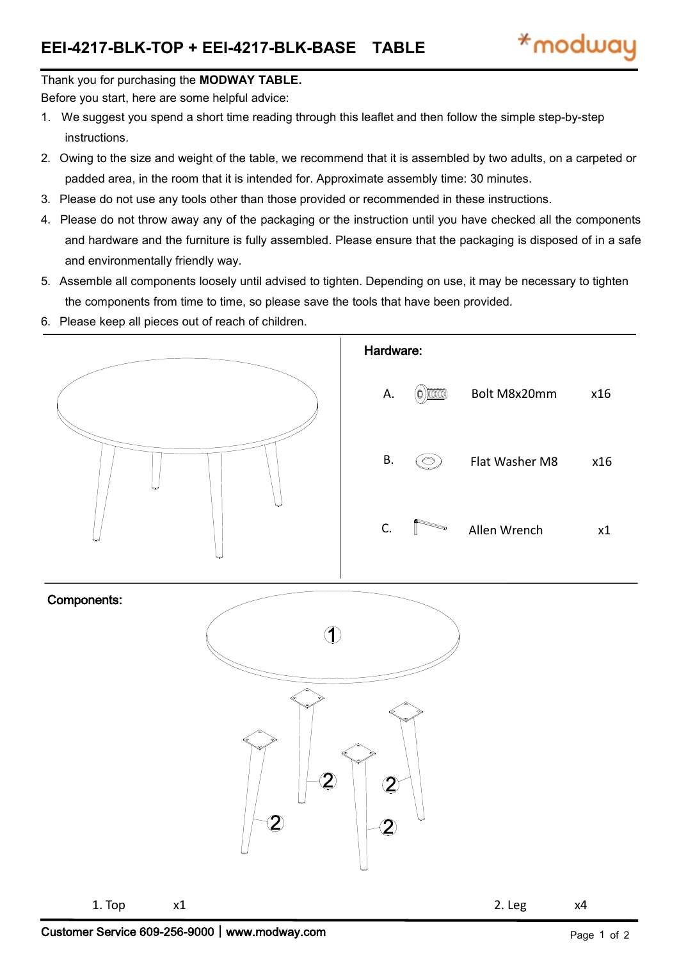## Thank you for purchasing the **MODWAY TABLE.**

Before you start, here are some helpful advice:

- 1. We suggest you spend a short time reading through this leaflet and then follow the simple step-by-step instructions.
- 2. Owing to the size and weight of the table, we recommend that it is assembled by two adults, on a carpeted or padded area, in the room that it is intended for. Approximate assembly time: 30 minutes.
- 3. Please do not use any tools other than those provided or recommended in these instructions.
- 4. Please do not throw away any of the packaging or the instruction until you have checked all the components and hardware and the furniture is fully assembled. Please ensure that the packaging is disposed of in a safe and environmentally friendly way.
- 5. Assemble all components loosely until advised to tighten. Depending on use, it may be necessary to tighten the components from time to time, so please save the tools that have been provided.
- 6. Please keep all pieces out of reach of children.